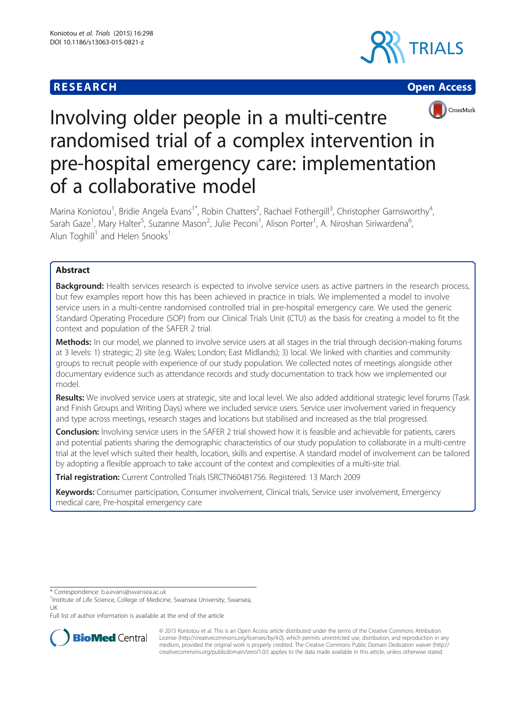## **RESEARCH CHEAR CHEAR CHEAR CHEAR CHEAR CHEAR CHEAR CHEAR CHEAR CHEAR CHEAR CHEAR CHEAR CHEAR CHEAR CHEAR CHEAR**







# Involving older people in a multi-centre randomised trial of a complex intervention in pre-hospital emergency care: implementation of a collaborative model

Marina Koniotou<sup>1</sup>, Bridie Angela Evans<sup>1\*</sup>, Robin Chatters<sup>2</sup>, Rachael Fothergill<sup>3</sup>, Christopher Garnsworthy<sup>4</sup> , Sarah Gaze<sup>1</sup>, Mary Halter<sup>5</sup>, Suzanne Mason<sup>2</sup>, Julie Peconi<sup>1</sup>, Alison Porter<sup>1</sup>, A. Niroshan Siriwardena<sup>6</sup> , Alun Toghill<sup>1</sup> and Helen Snooks<sup>1</sup>

## Abstract

Background: Health services research is expected to involve service users as active partners in the research process, but few examples report how this has been achieved in practice in trials. We implemented a model to involve service users in a multi-centre randomised controlled trial in pre-hospital emergency care. We used the generic Standard Operating Procedure (SOP) from our Clinical Trials Unit (CTU) as the basis for creating a model to fit the context and population of the SAFER 2 trial.

Methods: In our model, we planned to involve service users at all stages in the trial through decision-making forums at 3 levels: 1) strategic; 2) site (e.g. Wales; London; East Midlands); 3) local. We linked with charities and community groups to recruit people with experience of our study population. We collected notes of meetings alongside other documentary evidence such as attendance records and study documentation to track how we implemented our model.

Results: We involved service users at strategic, site and local level. We also added additional strategic level forums (Task and Finish Groups and Writing Days) where we included service users. Service user involvement varied in frequency and type across meetings, research stages and locations but stabilised and increased as the trial progressed.

Conclusion: Involving service users in the SAFER 2 trial showed how it is feasible and achievable for patients, carers and potential patients sharing the demographic characteristics of our study population to collaborate in a multi-centre trial at the level which suited their health, location, skills and expertise. A standard model of involvement can be tailored by adopting a flexible approach to take account of the context and complexities of a multi-site trial.

Trial registration: Current Controlled Trials [ISRCTN60481756.](http://www.isrctn.com/ISRCTN60481756) Registered: 13 March 2009

Keywords: Consumer participation, Consumer involvement, Clinical trials, Service user involvement, Emergency medical care, Pre-hospital emergency care

Full list of author information is available at the end of the article



© 2015 Koniotou et al. This is an Open Access article distributed under the terms of the Creative Commons Attribution License (<http://creativecommons.org/licenses/by/4.0>), which permits unrestricted use, distribution, and reproduction in any medium, provided the original work is properly credited. The Creative Commons Public Domain Dedication waiver [\(http://](http://creativecommons.org/publicdomain/zero/1.0/) [creativecommons.org/publicdomain/zero/1.0/\)](http://creativecommons.org/publicdomain/zero/1.0/) applies to the data made available in this article, unless otherwise stated.

<sup>\*</sup> Correspondence: [b.a.evans@swansea.ac.uk](mailto:b.a.evans@swansea.ac.uk) <sup>1</sup>

<sup>&</sup>lt;sup>1</sup>Institute of Life Science, College of Medicine, Swansea University, Swansea, UK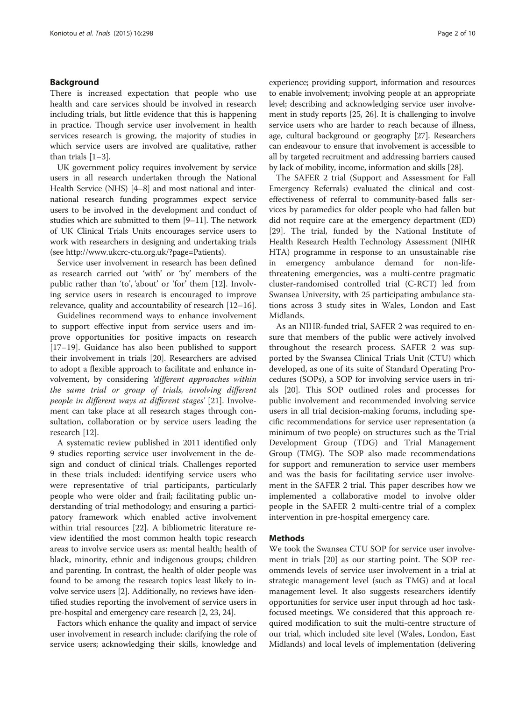#### Background

There is increased expectation that people who use health and care services should be involved in research including trials, but little evidence that this is happening in practice. Though service user involvement in health services research is growing, the majority of studies in which service users are involved are qualitative, rather than trials [\[1](#page-8-0)–[3\]](#page-8-0).

UK government policy requires involvement by service users in all research undertaken through the National Health Service (NHS) [\[4](#page-8-0)–[8\]](#page-8-0) and most national and international research funding programmes expect service users to be involved in the development and conduct of studies which are submitted to them [\[9](#page-8-0)–[11\]](#page-8-0). The network of UK Clinical Trials Units encourages service users to work with researchers in designing and undertaking trials (see [http://www.ukcrc-ctu.org.uk/?page=Patients\)](http://www.ukcrc-ctu.org.uk/?page=Patients).

Service user involvement in research has been defined as research carried out 'with' or 'by' members of the public rather than 'to', 'about' or 'for' them [[12\]](#page-8-0). Involving service users in research is encouraged to improve relevance, quality and accountability of research [[12](#page-8-0)–[16](#page-8-0)].

Guidelines recommend ways to enhance involvement to support effective input from service users and improve opportunities for positive impacts on research [[17](#page-8-0)–[19](#page-8-0)]. Guidance has also been published to support their involvement in trials [[20\]](#page-8-0). Researchers are advised to adopt a flexible approach to facilitate and enhance involvement, by considering 'different approaches within the same trial or group of trials, involving different people in different ways at different stages' [[21](#page-8-0)]. Involvement can take place at all research stages through consultation, collaboration or by service users leading the research [[12\]](#page-8-0).

A systematic review published in 2011 identified only 9 studies reporting service user involvement in the design and conduct of clinical trials. Challenges reported in these trials included: identifying service users who were representative of trial participants, particularly people who were older and frail; facilitating public understanding of trial methodology; and ensuring a participatory framework which enabled active involvement within trial resources [\[22](#page-8-0)]. A bibliometric literature review identified the most common health topic research areas to involve service users as: mental health; health of black, minority, ethnic and indigenous groups; children and parenting. In contrast, the health of older people was found to be among the research topics least likely to involve service users [[2](#page-8-0)]. Additionally, no reviews have identified studies reporting the involvement of service users in pre-hospital and emergency care research [\[2](#page-8-0), [23](#page-8-0), [24\]](#page-8-0).

Factors which enhance the quality and impact of service user involvement in research include: clarifying the role of service users; acknowledging their skills, knowledge and

experience; providing support, information and resources to enable involvement; involving people at an appropriate level; describing and acknowledging service user involvement in study reports [[25](#page-8-0), [26](#page-8-0)]. It is challenging to involve service users who are harder to reach because of illness, age, cultural background or geography [\[27\]](#page-8-0). Researchers can endeavour to ensure that involvement is accessible to all by targeted recruitment and addressing barriers caused by lack of mobility, income, information and skills [\[28\]](#page-8-0).

The SAFER 2 trial (Support and Assessment for Fall Emergency Referrals) evaluated the clinical and costeffectiveness of referral to community-based falls services by paramedics for older people who had fallen but did not require care at the emergency department (ED) [[29\]](#page-8-0). The trial, funded by the National Institute of Health Research Health Technology Assessment (NIHR HTA) programme in response to an unsustainable rise in emergency ambulance demand for non-lifethreatening emergencies, was a multi-centre pragmatic cluster-randomised controlled trial (C-RCT) led from Swansea University, with 25 participating ambulance stations across 3 study sites in Wales, London and East Midlands.

As an NIHR-funded trial, SAFER 2 was required to ensure that members of the public were actively involved throughout the research process. SAFER 2 was supported by the Swansea Clinical Trials Unit (CTU) which developed, as one of its suite of Standard Operating Procedures (SOPs), a SOP for involving service users in trials [[20\]](#page-8-0). This SOP outlined roles and processes for public involvement and recommended involving service users in all trial decision-making forums, including specific recommendations for service user representation (a minimum of two people) on structures such as the Trial Development Group (TDG) and Trial Management Group (TMG). The SOP also made recommendations for support and remuneration to service user members and was the basis for facilitating service user involvement in the SAFER 2 trial. This paper describes how we implemented a collaborative model to involve older people in the SAFER 2 multi-centre trial of a complex intervention in pre-hospital emergency care.

#### Methods

We took the Swansea CTU SOP for service user involvement in trials [[20](#page-8-0)] as our starting point. The SOP recommends levels of service user involvement in a trial at strategic management level (such as TMG) and at local management level. It also suggests researchers identify opportunities for service user input through ad hoc taskfocused meetings. We considered that this approach required modification to suit the multi-centre structure of our trial, which included site level (Wales, London, East Midlands) and local levels of implementation (delivering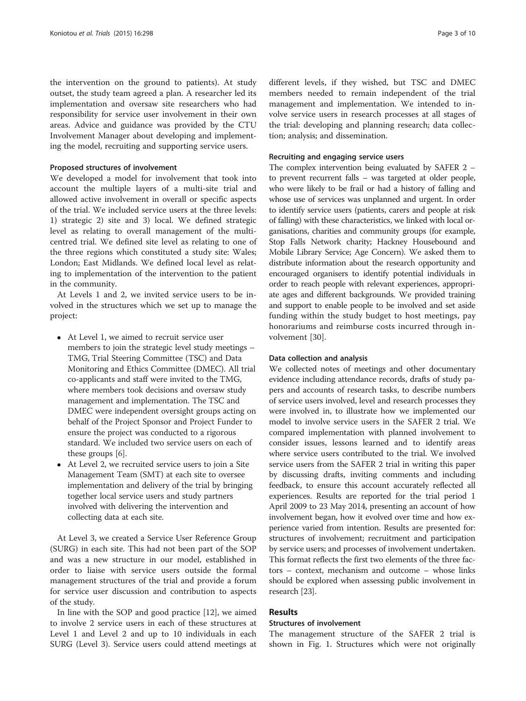the intervention on the ground to patients). At study outset, the study team agreed a plan. A researcher led its implementation and oversaw site researchers who had responsibility for service user involvement in their own areas. Advice and guidance was provided by the CTU Involvement Manager about developing and implementing the model, recruiting and supporting service users.

#### Proposed structures of involvement

We developed a model for involvement that took into account the multiple layers of a multi-site trial and allowed active involvement in overall or specific aspects of the trial. We included service users at the three levels: 1) strategic 2) site and 3) local. We defined strategic level as relating to overall management of the multicentred trial. We defined site level as relating to one of the three regions which constituted a study site: Wales; London; East Midlands. We defined local level as relating to implementation of the intervention to the patient in the community.

At Levels 1 and 2, we invited service users to be involved in the structures which we set up to manage the project:

- At Level 1, we aimed to recruit service user members to join the strategic level study meetings – TMG, Trial Steering Committee (TSC) and Data Monitoring and Ethics Committee (DMEC). All trial co-applicants and staff were invited to the TMG, where members took decisions and oversaw study management and implementation. The TSC and DMEC were independent oversight groups acting on behalf of the Project Sponsor and Project Funder to ensure the project was conducted to a rigorous standard. We included two service users on each of these groups [[6\]](#page-8-0).
- At Level 2, we recruited service users to join a Site Management Team (SMT) at each site to oversee implementation and delivery of the trial by bringing together local service users and study partners involved with delivering the intervention and collecting data at each site.

At Level 3, we created a Service User Reference Group (SURG) in each site. This had not been part of the SOP and was a new structure in our model, established in order to liaise with service users outside the formal management structures of the trial and provide a forum for service user discussion and contribution to aspects of the study.

In line with the SOP and good practice [\[12\]](#page-8-0), we aimed to involve 2 service users in each of these structures at Level 1 and Level 2 and up to 10 individuals in each SURG (Level 3). Service users could attend meetings at different levels, if they wished, but TSC and DMEC members needed to remain independent of the trial management and implementation. We intended to involve service users in research processes at all stages of the trial: developing and planning research; data collection; analysis; and dissemination.

#### Recruiting and engaging service users

The complex intervention being evaluated by SAFER 2 – to prevent recurrent falls – was targeted at older people, who were likely to be frail or had a history of falling and whose use of services was unplanned and urgent. In order to identify service users (patients, carers and people at risk of falling) with these characteristics, we linked with local organisations, charities and community groups (for example, Stop Falls Network charity; Hackney Housebound and Mobile Library Service; Age Concern). We asked them to distribute information about the research opportunity and encouraged organisers to identify potential individuals in order to reach people with relevant experiences, appropriate ages and different backgrounds. We provided training and support to enable people to be involved and set aside funding within the study budget to host meetings, pay honorariums and reimburse costs incurred through involvement [\[30](#page-8-0)].

#### Data collection and analysis

We collected notes of meetings and other documentary evidence including attendance records, drafts of study papers and accounts of research tasks, to describe numbers of service users involved, level and research processes they were involved in, to illustrate how we implemented our model to involve service users in the SAFER 2 trial. We compared implementation with planned involvement to consider issues, lessons learned and to identify areas where service users contributed to the trial. We involved service users from the SAFER 2 trial in writing this paper by discussing drafts, inviting comments and including feedback, to ensure this account accurately reflected all experiences. Results are reported for the trial period 1 April 2009 to 23 May 2014, presenting an account of how involvement began, how it evolved over time and how experience varied from intention. Results are presented for: structures of involvement; recruitment and participation by service users; and processes of involvement undertaken. This format reflects the first two elements of the three factors – context, mechanism and outcome – whose links should be explored when assessing public involvement in research [[23](#page-8-0)].

### Results

#### Structures of involvement

The management structure of the SAFER 2 trial is shown in Fig. [1.](#page-3-0) Structures which were not originally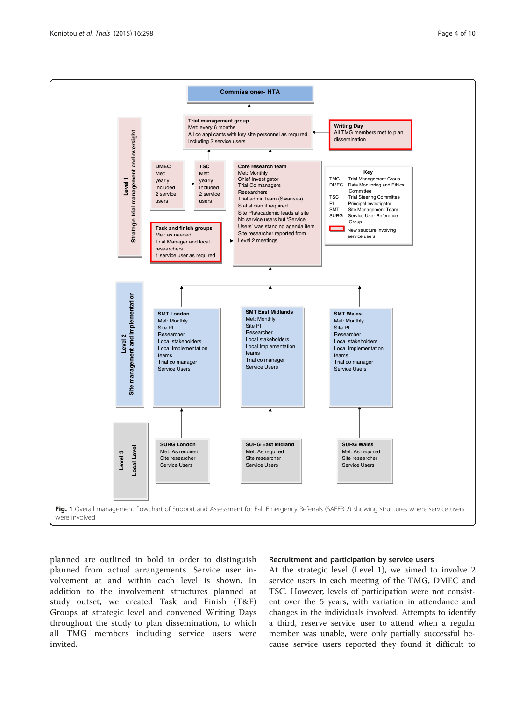<span id="page-3-0"></span>

planned are outlined in bold in order to distinguish planned from actual arrangements. Service user involvement at and within each level is shown. In addition to the involvement structures planned at study outset, we created Task and Finish (T&F) Groups at strategic level and convened Writing Days throughout the study to plan dissemination, to which all TMG members including service users were invited.

#### Recruitment and participation by service users

At the strategic level (Level 1), we aimed to involve 2 service users in each meeting of the TMG, DMEC and TSC. However, levels of participation were not consistent over the 5 years, with variation in attendance and changes in the individuals involved. Attempts to identify a third, reserve service user to attend when a regular member was unable, were only partially successful because service users reported they found it difficult to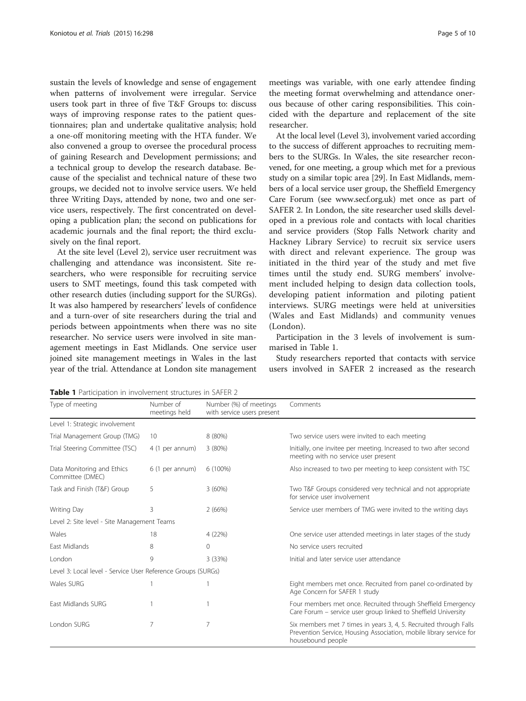<span id="page-4-0"></span>sustain the levels of knowledge and sense of engagement when patterns of involvement were irregular. Service users took part in three of five T&F Groups to: discuss ways of improving response rates to the patient questionnaires; plan and undertake qualitative analysis; hold a one-off monitoring meeting with the HTA funder. We also convened a group to oversee the procedural process of gaining Research and Development permissions; and a technical group to develop the research database. Because of the specialist and technical nature of these two groups, we decided not to involve service users. We held three Writing Days, attended by none, two and one service users, respectively. The first concentrated on developing a publication plan; the second on publications for academic journals and the final report; the third exclusively on the final report.

At the site level (Level 2), service user recruitment was challenging and attendance was inconsistent. Site researchers, who were responsible for recruiting service users to SMT meetings, found this task competed with other research duties (including support for the SURGs). It was also hampered by researchers' levels of confidence and a turn-over of site researchers during the trial and periods between appointments when there was no site researcher. No service users were involved in site management meetings in East Midlands. One service user joined site management meetings in Wales in the last year of the trial. Attendance at London site management

meetings was variable, with one early attendee finding the meeting format overwhelming and attendance onerous because of other caring responsibilities. This coincided with the departure and replacement of the site researcher.

At the local level (Level 3), involvement varied according to the success of different approaches to recruiting members to the SURGs. In Wales, the site researcher reconvened, for one meeting, a group which met for a previous study on a similar topic area [[29\]](#page-8-0). In East Midlands, members of a local service user group, the Sheffield Emergency Care Forum (see [www.secf.org.uk](http://www.secf.org.uk)) met once as part of SAFER 2. In London, the site researcher used skills developed in a previous role and contacts with local charities and service providers (Stop Falls Network charity and Hackney Library Service) to recruit six service users with direct and relevant experience. The group was initiated in the third year of the study and met five times until the study end. SURG members' involvement included helping to design data collection tools, developing patient information and piloting patient interviews. SURG meetings were held at universities (Wales and East Midlands) and community venues (London).

Participation in the 3 levels of involvement is summarised in Table 1.

Study researchers reported that contacts with service users involved in SAFER 2 increased as the research

Table 1 Participation in involvement structures in SAFER 2

| Type of meeting                                              | Number of<br>meetings held | Number (%) of meetings<br>with service users present | Comments                                                                                                                                                      |  |
|--------------------------------------------------------------|----------------------------|------------------------------------------------------|---------------------------------------------------------------------------------------------------------------------------------------------------------------|--|
| Level 1: Strategic involvement                               |                            |                                                      |                                                                                                                                                               |  |
| Trial Management Group (TMG)                                 | 10                         | 8 (80%)                                              | Two service users were invited to each meeting                                                                                                                |  |
| Trial Steering Committee (TSC)                               | 4 (1 per annum)            | 3 (80%)                                              | Initially, one invitee per meeting. Increased to two after second<br>meeting with no service user present                                                     |  |
| Data Monitoring and Ethics<br>Committee (DMEC)               | 6 (1 per annum)            | 6 (100%)                                             | Also increased to two per meeting to keep consistent with TSC                                                                                                 |  |
| Task and Finish (T&F) Group                                  | 5                          | 3(60%)                                               | Two T&F Groups considered very technical and not appropriate<br>for service user involvement                                                                  |  |
| Writing Day                                                  | 3                          | 2(66%)                                               | Service user members of TMG were invited to the writing days                                                                                                  |  |
| Level 2: Site level - Site Management Teams                  |                            |                                                      |                                                                                                                                                               |  |
| Wales                                                        | 18                         | 4 (22%)                                              | One service user attended meetings in later stages of the study                                                                                               |  |
| East Midlands                                                | 8                          | 0                                                    | No service users recruited                                                                                                                                    |  |
| London                                                       | 9                          | 3 (33%)                                              | Initial and later service user attendance                                                                                                                     |  |
| Level 3: Local level - Service User Reference Groups (SURGs) |                            |                                                      |                                                                                                                                                               |  |
| Wales SURG                                                   |                            |                                                      | Eight members met once. Recruited from panel co-ordinated by<br>Age Concern for SAFER 1 study                                                                 |  |
| East Midlands SURG                                           |                            |                                                      | Four members met once. Recruited through Sheffield Emergency<br>Care Forum - service user group linked to Sheffield University                                |  |
| London SURG                                                  |                            |                                                      | Six members met 7 times in years 3, 4, 5. Recruited through Falls<br>Prevention Service, Housing Association, mobile library service for<br>housebound people |  |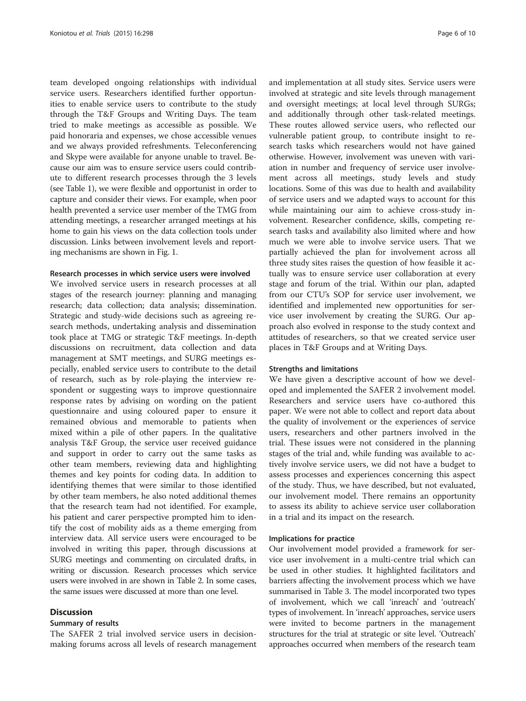team developed ongoing relationships with individual service users. Researchers identified further opportunities to enable service users to contribute to the study through the T&F Groups and Writing Days. The team tried to make meetings as accessible as possible. We paid honoraria and expenses, we chose accessible venues and we always provided refreshments. Teleconferencing and Skype were available for anyone unable to travel. Because our aim was to ensure service users could contribute to different research processes through the 3 levels (see Table [1](#page-4-0)), we were flexible and opportunist in order to capture and consider their views. For example, when poor health prevented a service user member of the TMG from attending meetings, a researcher arranged meetings at his home to gain his views on the data collection tools under discussion. Links between involvement levels and reporting mechanisms are shown in Fig. [1](#page-3-0).

#### Research processes in which service users were involved

We involved service users in research processes at all stages of the research journey: planning and managing research; data collection; data analysis; dissemination. Strategic and study-wide decisions such as agreeing research methods, undertaking analysis and dissemination took place at TMG or strategic T&F meetings. In-depth discussions on recruitment, data collection and data management at SMT meetings, and SURG meetings especially, enabled service users to contribute to the detail of research, such as by role-playing the interview respondent or suggesting ways to improve questionnaire response rates by advising on wording on the patient questionnaire and using coloured paper to ensure it remained obvious and memorable to patients when mixed within a pile of other papers. In the qualitative analysis T&F Group, the service user received guidance and support in order to carry out the same tasks as other team members, reviewing data and highlighting themes and key points for coding data. In addition to identifying themes that were similar to those identified by other team members, he also noted additional themes that the research team had not identified. For example, his patient and carer perspective prompted him to identify the cost of mobility aids as a theme emerging from interview data. All service users were encouraged to be involved in writing this paper, through discussions at SURG meetings and commenting on circulated drafts, in writing or discussion. Research processes which service users were involved in are shown in Table [2.](#page-6-0) In some cases, the same issues were discussed at more than one level.

#### **Discussion**

#### Summary of results

The SAFER 2 trial involved service users in decisionmaking forums across all levels of research management

and implementation at all study sites. Service users were involved at strategic and site levels through management and oversight meetings; at local level through SURGs; and additionally through other task-related meetings. These routes allowed service users, who reflected our vulnerable patient group, to contribute insight to research tasks which researchers would not have gained otherwise. However, involvement was uneven with variation in number and frequency of service user involvement across all meetings, study levels and study locations. Some of this was due to health and availability of service users and we adapted ways to account for this while maintaining our aim to achieve cross-study involvement. Researcher confidence, skills, competing research tasks and availability also limited where and how much we were able to involve service users. That we partially achieved the plan for involvement across all three study sites raises the question of how feasible it actually was to ensure service user collaboration at every stage and forum of the trial. Within our plan, adapted from our CTU's SOP for service user involvement, we identified and implemented new opportunities for service user involvement by creating the SURG. Our approach also evolved in response to the study context and attitudes of researchers, so that we created service user places in T&F Groups and at Writing Days.

#### Strengths and limitations

We have given a descriptive account of how we developed and implemented the SAFER 2 involvement model. Researchers and service users have co-authored this paper. We were not able to collect and report data about the quality of involvement or the experiences of service users, researchers and other partners involved in the trial. These issues were not considered in the planning stages of the trial and, while funding was available to actively involve service users, we did not have a budget to assess processes and experiences concerning this aspect of the study. Thus, we have described, but not evaluated, our involvement model. There remains an opportunity to assess its ability to achieve service user collaboration in a trial and its impact on the research.

#### Implications for practice

Our involvement model provided a framework for service user involvement in a multi-centre trial which can be used in other studies. It highlighted facilitators and barriers affecting the involvement process which we have summarised in Table [3.](#page-7-0) The model incorporated two types of involvement, which we call 'inreach' and 'outreach' types of involvement. In 'inreach' approaches, service users were invited to become partners in the management structures for the trial at strategic or site level. 'Outreach' approaches occurred when members of the research team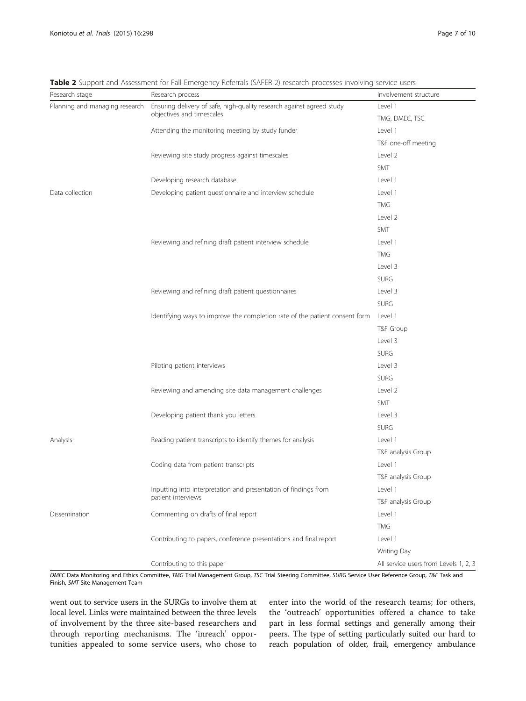| Research stage                 | Research process                                                            | Involvement structure                 |
|--------------------------------|-----------------------------------------------------------------------------|---------------------------------------|
| Planning and managing research | Ensuring delivery of safe, high-quality research against agreed study       | Level 1                               |
|                                | objectives and timescales                                                   | TMG, DMEC, TSC                        |
|                                | Attending the monitoring meeting by study funder                            | Level 1                               |
|                                |                                                                             | T&F one-off meeting                   |
|                                | Reviewing site study progress against timescales                            | Level 2                               |
|                                |                                                                             | <b>SMT</b>                            |
|                                | Developing research database                                                | Level 1                               |
| Data collection                | Developing patient questionnaire and interview schedule                     | Level 1                               |
|                                |                                                                             | <b>TMG</b>                            |
|                                |                                                                             | Level 2                               |
|                                |                                                                             | <b>SMT</b>                            |
|                                | Reviewing and refining draft patient interview schedule                     | Level 1                               |
|                                |                                                                             | <b>TMG</b>                            |
|                                |                                                                             | Level 3                               |
|                                |                                                                             | <b>SURG</b>                           |
|                                | Reviewing and refining draft patient questionnaires                         | Level 3                               |
|                                |                                                                             | <b>SURG</b>                           |
|                                | Identifying ways to improve the completion rate of the patient consent form | Level 1                               |
|                                |                                                                             | T&F Group                             |
|                                |                                                                             | Level 3                               |
|                                |                                                                             | <b>SURG</b>                           |
|                                | Piloting patient interviews                                                 | Level 3                               |
|                                |                                                                             | <b>SURG</b>                           |
|                                | Reviewing and amending site data management challenges                      | Level 2                               |
|                                |                                                                             | SMT                                   |
|                                | Developing patient thank you letters                                        | Level 3                               |
|                                |                                                                             | <b>SURG</b>                           |
| Analysis                       | Reading patient transcripts to identify themes for analysis                 | Level 1                               |
|                                |                                                                             | T&F analysis Group                    |
|                                | Coding data from patient transcripts                                        | Level 1                               |
|                                |                                                                             | T&F analysis Group                    |
|                                | Inputting into interpretation and presentation of findings from             | Level 1                               |
|                                | patient interviews                                                          | T&F analysis Group                    |
| Dissemination                  | Commenting on drafts of final report                                        | Level 1                               |
|                                |                                                                             | <b>TMG</b>                            |
|                                | Contributing to papers, conference presentations and final report           | Level 1                               |
|                                |                                                                             | Writing Day                           |
|                                | Contributing to this paper                                                  | All service users from Levels 1, 2, 3 |

<span id="page-6-0"></span>Table 2 Support and Assessment for Fall Emergency Referrals (SAFER 2) research processes involving service users

DMEC Data Monitoring and Ethics Committee, TMG Trial Management Group, TSC Trial Steering Committee, SURG Service User Reference Group, T&F Task and Finish, SMT Site Management Team

went out to service users in the SURGs to involve them at local level. Links were maintained between the three levels of involvement by the three site-based researchers and through reporting mechanisms. The 'inreach' opportunities appealed to some service users, who chose to

enter into the world of the research teams; for others, the 'outreach' opportunities offered a chance to take part in less formal settings and generally among their peers. The type of setting particularly suited our hard to reach population of older, frail, emergency ambulance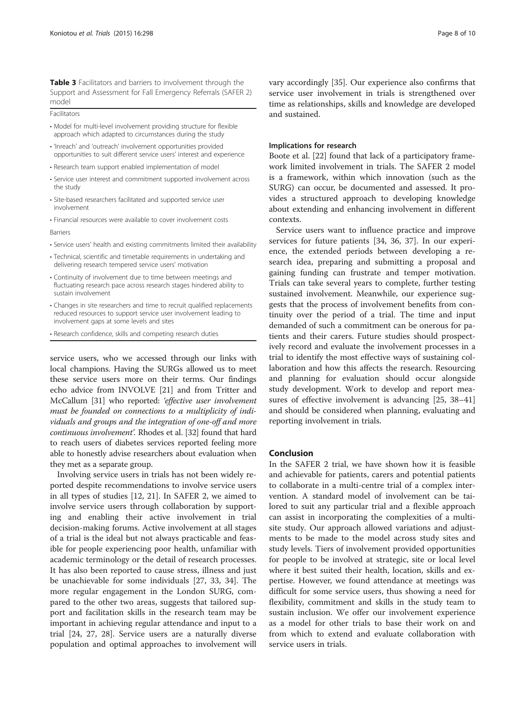<span id="page-7-0"></span>Table 3 Facilitators and barriers to involvement through the Support and Assessment for Fall Emergency Referrals (SAFER 2) model

Facilitators

- Model for multi-level involvement providing structure for flexible approach which adapted to circumstances during the study
- 'Inreach' and 'outreach' involvement opportunities provided opportunities to suit different service users' interest and experience
- Research team support enabled implementation of model
- Service user interest and commitment supported involvement across the study
- Site-based researchers facilitated and supported service user involvement
- Financial resources were available to cover involvement costs
- Barriers
- Service users' health and existing commitments limited their availability
- Technical, scientific and timetable requirements in undertaking and delivering research tempered service users' motivation
- Continuity of involvement due to time between meetings and fluctuating research pace across research stages hindered ability to sustain involvement
- Changes in site researchers and time to recruit qualified replacements reduced resources to support service user involvement leading to involvement gaps at some levels and sites
- Research confidence, skills and competing research duties

service users, who we accessed through our links with local champions. Having the SURGs allowed us to meet these service users more on their terms. Our findings echo advice from INVOLVE [[21](#page-8-0)] and from Tritter and McCallum [\[31](#page-8-0)] who reported: 'effective user involvement must be founded on connections to a multiplicity of individuals and groups and the integration of one-off and more continuous involvement'. Rhodes et al. [[32](#page-9-0)] found that hard to reach users of diabetes services reported feeling more able to honestly advise researchers about evaluation when they met as a separate group.

Involving service users in trials has not been widely reported despite recommendations to involve service users in all types of studies [\[12](#page-8-0), [21](#page-8-0)]. In SAFER 2, we aimed to involve service users through collaboration by supporting and enabling their active involvement in trial decision-making forums. Active involvement at all stages of a trial is the ideal but not always practicable and feasible for people experiencing poor health, unfamiliar with academic terminology or the detail of research processes. It has also been reported to cause stress, illness and just be unachievable for some individuals [[27,](#page-8-0) [33](#page-9-0), [34\]](#page-9-0). The more regular engagement in the London SURG, compared to the other two areas, suggests that tailored support and facilitation skills in the research team may be important in achieving regular attendance and input to a trial [\[24, 27, 28\]](#page-8-0). Service users are a naturally diverse population and optimal approaches to involvement will vary accordingly [\[35](#page-9-0)]. Our experience also confirms that service user involvement in trials is strengthened over time as relationships, skills and knowledge are developed and sustained.

#### Implications for research

Boote et al. [\[22\]](#page-8-0) found that lack of a participatory framework limited involvement in trials. The SAFER 2 model is a framework, within which innovation (such as the SURG) can occur, be documented and assessed. It provides a structured approach to developing knowledge about extending and enhancing involvement in different contexts.

Service users want to influence practice and improve services for future patients [[34, 36](#page-9-0), [37\]](#page-9-0). In our experience, the extended periods between developing a research idea, preparing and submitting a proposal and gaining funding can frustrate and temper motivation. Trials can take several years to complete, further testing sustained involvement. Meanwhile, our experience suggests that the process of involvement benefits from continuity over the period of a trial. The time and input demanded of such a commitment can be onerous for patients and their carers. Future studies should prospectively record and evaluate the involvement processes in a trial to identify the most effective ways of sustaining collaboration and how this affects the research. Resourcing and planning for evaluation should occur alongside study development. Work to develop and report measures of effective involvement is advancing [[25](#page-8-0), [38](#page-9-0)–[41](#page-9-0)] and should be considered when planning, evaluating and reporting involvement in trials.

#### Conclusion

In the SAFER 2 trial, we have shown how it is feasible and achievable for patients, carers and potential patients to collaborate in a multi-centre trial of a complex intervention. A standard model of involvement can be tailored to suit any particular trial and a flexible approach can assist in incorporating the complexities of a multisite study. Our approach allowed variations and adjustments to be made to the model across study sites and study levels. Tiers of involvement provided opportunities for people to be involved at strategic, site or local level where it best suited their health, location, skills and expertise. However, we found attendance at meetings was difficult for some service users, thus showing a need for flexibility, commitment and skills in the study team to sustain inclusion. We offer our involvement experience as a model for other trials to base their work on and from which to extend and evaluate collaboration with service users in trials.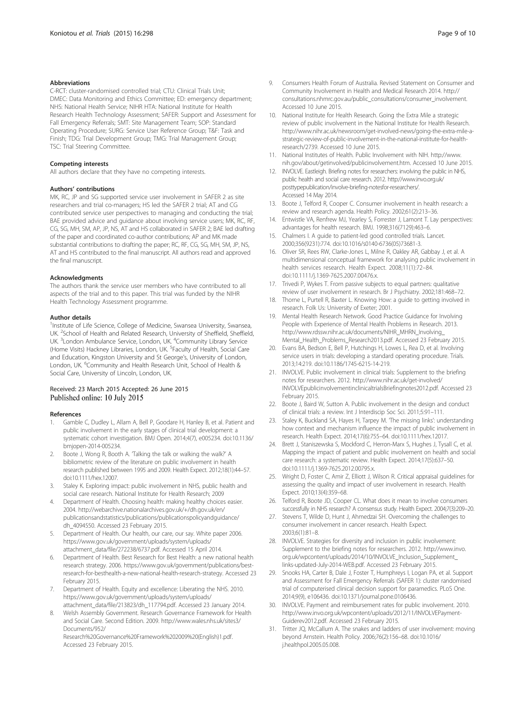#### <span id="page-8-0"></span>**Abbreviations**

C-RCT: cluster-randomised controlled trial; CTU: Clinical Trials Unit; DMEC: Data Monitoring and Ethics Committee; ED: emergency department; NHS: National Health Service; NIHR HTA: National Institute for Health Research Health Technology Assessment; SAFER: Support and Assessment for Fall Emergency Referrals; SMT: Site Management Team; SOP: Standard Operating Procedure; SURG: Service User Reference Group; T&F: Task and Finish; TDG: Trial Development Group; TMG: Trial Management Group; TSC: Trial Steering Committee.

#### Competing interests

All authors declare that they have no competing interests.

#### Authors' contributions

MK, RC, JP and SG supported service user involvement in SAFER 2 as site researchers and trial co-managers; HS led the SAFER 2 trial; AT and CG contributed service user perspectives to managing and conducting the trial; BAE provided advice and guidance about involving service users; MK, RC, RF, CG, SG, MH, SM, AP, JP, NS, AT and HS collaborated in SAFER 2; BAE led drafting of the paper and coordinated co-author contributions; AP and MK made substantial contributions to drafting the paper; RC, RF, CG, SG, MH, SM, JP, NS, AT and HS contributed to the final manuscript. All authors read and approved the final manuscript.

#### Acknowledgments

The authors thank the service user members who have contributed to all aspects of the trial and to this paper. This trial was funded by the NIHR Health Technology Assessment programme.

#### Author details

<sup>1</sup>Institute of Life Science, College of Medicine, Swansea University, Swansea, UK. <sup>2</sup>School of Health and Related Research, University of Sheffield, Sheffield, UK. <sup>3</sup> London Ambulance Service, London, UK. <sup>4</sup> Community Library Service (Home Visits) Hackney Libraries, London, UK. <sup>5</sup>Faculty of Health, Social Care and Education, Kingston University and St George's, University of London, London, UK. <sup>6</sup>Community and Health Research Unit, School of Health & Social Care, University of Lincoln, London, UK.

#### Received: 23 March 2015 Accepted: 26 June 2015 Published online: 10 July 2015

#### References

- 1. Gamble C, Dudley L, Allam A, Bell P, Goodare H, Hanley B, et al. Patient and public involvement in the early stages of clinical trial development: a systematic cohort investigation. BMJ Open. 2014;4(7), e005234. doi:[10.1136/](http://dx.doi.org/10.1136/bmjopen-2014-005234) [bmjopen-2014-005234.](http://dx.doi.org/10.1136/bmjopen-2014-005234)
- 2. Boote J, Wong R, Booth A. 'Talking the talk or walking the walk?' A bibliometric review of the literature on public involvement in health research published between 1995 and 2009. Health Expect. 2012;18(1):44–57. doi:[10.1111/hex.12007](http://dx.doi.org/10.1111/hex.12007).
- 3. Staley K. Exploring impact: public involvement in NHS, public health and social care research. National Institute for Health Research; 2009
- 4. Department of Health. Choosing health: making healthy choices easier. 2004. [http://webarchive.nationalarchives.gov.uk/+/dh.gov.uk/en/](http://webarchive.nationalarchives.gov.uk/+/dh.gov.uk/en/publicationsandstatistics/publications/publicationspolicyandguidance/dh_4094550) [publicationsandstatistics/publications/publicationspolicyandguidance/](http://webarchive.nationalarchives.gov.uk/+/dh.gov.uk/en/publicationsandstatistics/publications/publicationspolicyandguidance/dh_4094550) [dh\\_4094550.](http://webarchive.nationalarchives.gov.uk/+/dh.gov.uk/en/publicationsandstatistics/publications/publicationspolicyandguidance/dh_4094550) Accessed 23 February 2015.
- 5. Department of Health. Our health, our care, our say. White paper 2006. [https://www.gov.uk/government/uploads/system/uploads/](https://www.gov.uk/government/uploads/system/uploads/attachment_data/file/272238/6737.pdf) [attachment\\_data/file/272238/6737.pdf.](https://www.gov.uk/government/uploads/system/uploads/attachment_data/file/272238/6737.pdf) Accessed 15 April 2014.
- 6. Department of Health. Best Research for Best Health: a new national health research strategy. 2006. [https://www.gov.uk/government/publications/best](https://www.gov.uk/government/publications/best-research-for-besthealth-a-new-national-health-research-strategy)[research-for-besthealth-a-new-national-health-research-strategy.](https://www.gov.uk/government/publications/best-research-for-besthealth-a-new-national-health-research-strategy) Accessed 23 February 2015.
- 7. Department of Health. Equity and excellence: Liberating the NHS. 2010. [https://www.gov.uk/government/uploads/system/uploads/](https://www.gov.uk/government/uploads/system/uploads/attachment_data/file/213823/dh_117794.pdf) [attachment\\_data/file/213823/dh\\_117794.pdf.](https://www.gov.uk/government/uploads/system/uploads/attachment_data/file/213823/dh_117794.pdf) Accessed 23 January 2014.
- Welsh Assembly Government. Research Governance Framework for Health and Social Care. Second Edition. 2009. [http://www.wales.nhs.uk/sites3/](http://www.wales.nhs.uk/sites3/Documents/952/Research%20Governance%20Framework%202009%20(English)1.pdf) [Documents/952/](http://www.wales.nhs.uk/sites3/Documents/952/Research%20Governance%20Framework%202009%20(English)1.pdf) [Research%20Governance%20Framework%202009%20\(English\)1.pdf](http://www.wales.nhs.uk/sites3/Documents/952/Research%20Governance%20Framework%202009%20(English)1.pdf).

Accessed 23 February 2015.

- 9. Consumers Health Forum of Australia. Revised Statement on Consumer and Community Involvement in Health and Medical Research 2014. [http://](http://consultations.nhmrc.gov.au/public_consultations/consumer_involvement) [consultations.nhmrc.gov.au/public\\_consultations/consumer\\_involvement](http://consultations.nhmrc.gov.au/public_consultations/consumer_involvement). Accessed 10 June 2015.
- 10. National Institute for Health Research. Going the Extra Mile a strategic review of public involvement in the National Institute for Health Research. [http://www.nihr.ac.uk/newsroom/get-involved-news/going-the-extra-mile-a](http://www.nihr.ac.uk/newsroom/get-involved-news/going-the-extra-mile-a-strategic-review-of-public-involvement-in-the-national-institute-for-health-research/2739)[strategic-review-of-public-involvement-in-the-national-institute-for-health](http://www.nihr.ac.uk/newsroom/get-involved-news/going-the-extra-mile-a-strategic-review-of-public-involvement-in-the-national-institute-for-health-research/2739)[research/2739](http://www.nihr.ac.uk/newsroom/get-involved-news/going-the-extra-mile-a-strategic-review-of-public-involvement-in-the-national-institute-for-health-research/2739). Accessed 10 June 2015.
- 11. National Institutes of Health. Public Involvement with NIH. [http://www.](http://www.nih.gov/about/getinvolved/publicinvolvement.htm) [nih.gov/about/getinvolved/publicinvolvement.htm](http://www.nih.gov/about/getinvolved/publicinvolvement.htm). Accessed 10 June 2015.
- 12. INVOLVE. Eastleigh. Briefing notes for researchers: involving the public in NHS, public health and social care research. 2012. [http://www.invo.org.uk/](http://www.invo.org.uk/posttypepublication/involve-briefing-notesfor-researchers/) [posttypepublication/involve-briefing-notesfor-researchers/](http://www.invo.org.uk/posttypepublication/involve-briefing-notesfor-researchers/). Accessed 14 May 2014.
- 13. Boote J, Telford R, Cooper C. Consumer involvement in health research: a review and research agenda. Health Policy. 2002;61(2):213–36.
- 14. Entwistle VA, Renfrew MJ, Yearley S, Forrester J, Lamont T. Lay perspectives: advantages for health research. BMJ. 1998;316(7129):463–6.
- 15. Chalmers I. A guide to patient-led good controlled trials. Lancet. 2000;356(9231):774. doi[:10.1016/s0140-6736\(05\)73681-3](http://dx.doi.org/10.1016/s0140-6736(05)73681-3).
- 16. Oliver SR, Rees RW, Clarke-Jones L, Milne R, Oakley AR, Gabbay J, et al. A multidimensional conceptual framework for analysing public involvement in health services research. Health Expect. 2008;11(1):72–84. doi[:10.1111/j.1369-7625.2007.00476.x](http://dx.doi.org/10.1111/j.1369-7625.2007.00476.x).
- 17. Trivedi P, Wykes T. From passive subjects to equal partners: qualitative review of user involvement in research. Br J Psychiatry. 2002;181:468–72.
- 18. Thorne L, Purtell R, Baxter L. Knowing How: a guide to getting involved in research. Folk Us: University of Exeter; 2001.
- 19. Mental Health Research Network. Good Practice Guidance for Involving People with Experience of Mental Health Problems in Research. 2013. [http://www.rdssw.nihr.ac.uk/documents/NIHR\\_MHRN\\_Involving\\_](http://www.rdssw.nihr.ac.uk/documents/NIHR_MHRN_Involving_Mental_Health_Problems_Research2013.pdf) [Mental\\_Health\\_Problems\\_Research2013.pdf.](http://www.rdssw.nihr.ac.uk/documents/NIHR_MHRN_Involving_Mental_Health_Problems_Research2013.pdf) Accessed 23 February 2015.
- 20. Evans BA, Bedson E, Bell P, Hutchings H, Lowes L, Rea D, et al. Involving service users in trials: developing a standard operating procedure. Trials. 2013;14:219. doi[:10.1186/1745-6215-14-219](http://dx.doi.org/10.1186/1745-6215-14-219).
- 21. INVOLVE. Public involvement in clinical trials: Supplement to the briefing notes for researchers. 2012. [http://www.nihr.ac.uk/get-involved/](http://www.nihr.ac.uk/get-involved/INVOLVEpublicinvolvementinclinicaltrialsBriefingnotes2012.pdf) [INVOLVEpublicinvolvementinclinicaltrialsBriefingnotes2012.pdf](http://www.nihr.ac.uk/get-involved/INVOLVEpublicinvolvementinclinicaltrialsBriefingnotes2012.pdf). Accessed 23 February 2015.
- 22. Boote J, Baird W, Sutton A. Public involvement in the design and conduct of clinical trials: a review. Int J Interdiscip Soc Sci. 2011;5:91–111.
- 23. Staley K, Buckland SA, Hayes H, Tarpey M. The missing links': understanding how context and mechanism influence the impact of public involvement in research. Health Expect. 2014;17(6):755–64. doi:[10.1111/hex.12017](http://dx.doi.org/10.1111/hex.12017).
- 24. Brett J, Staniszewska S, Mockford C, Herron-Marx S, Hughes J, Tysall C, et al. Mapping the impact of patient and public involvement on health and social care research: a systematic review. Health Expect. 2014;17(5):637–50. doi[:10.1111/j.1369-7625.2012.00795.x](http://dx.doi.org/10.1111/j.1369-7625.2012.00795.x).
- 25. Wright D, Foster C, Amir Z, Elliott J, Wilson R. Critical appraisal guidelines for assessing the quality and impact of user involvement in research. Health Expect. 2010;13(4):359–68.
- 26. Telford R, Boote JD, Cooper CL. What does it mean to involve consumers successfully in NHS research? A consensus study. Health Expect. 2004;7(3):209–20.
- 27. Stevens T, Wilde D, Hunt J, Ahmedzai SH. Overcoming the challenges to consumer involvement in cancer research. Health Expect. 2003;6(1):81–8.
- 28. INVOLVE. Strategies for diversity and inclusion in public involvement: Supplement to the briefing notes for researchers. 2012. [http://www.invo.](http://www.invo.org.uk/wpcontent/uploads/2014/10/INVOLVE_Inclusion_Supplement_links-updated-July-2014-WEB.pdf) [org.uk/wpcontent/uploads/2014/10/INVOLVE\\_Inclusion\\_Supplement\\_](http://www.invo.org.uk/wpcontent/uploads/2014/10/INVOLVE_Inclusion_Supplement_links-updated-July-2014-WEB.pdf) [links-updated-July-2014-WEB.pdf](http://www.invo.org.uk/wpcontent/uploads/2014/10/INVOLVE_Inclusion_Supplement_links-updated-July-2014-WEB.pdf). Accessed 23 February 2015.
- 29. Snooks HA, Carter B, Dale J, Foster T, Humphreys I, Logan PA, et al. Support and Assessment for Fall Emergency Referrals (SAFER 1): cluster randomised trial of computerised clinical decision support for paramedics. PLoS One. 2014;9(9), e106436. doi:[10.1371/journal.pone.0106436.](http://dx.doi.org/10.1371/journal.pone.0106436)
- 30. INVOLVE. Payment and reimbursement rates for public involvement. 2010. [http://www.invo.org.uk/wpcontent/uploads/2012/11/INVOLVEPayment-](http://www.invo.org.uk/wpcontent/uploads/2012/11/INVOLVEPayment-Guiderev2012.pdf)[Guiderev2012.pdf.](http://www.invo.org.uk/wpcontent/uploads/2012/11/INVOLVEPayment-Guiderev2012.pdf) Accessed 23 February 2015.
- 31. Tritter JQ, McCallum A. The snakes and ladders of user involvement: moving beyond Arnstein. Health Policy. 2006;76(2):156–68. doi[:10.1016/](http://dx.doi.org/10.1016/j.healthpol.2005.05.008) [j.healthpol.2005.05.008.](http://dx.doi.org/10.1016/j.healthpol.2005.05.008)